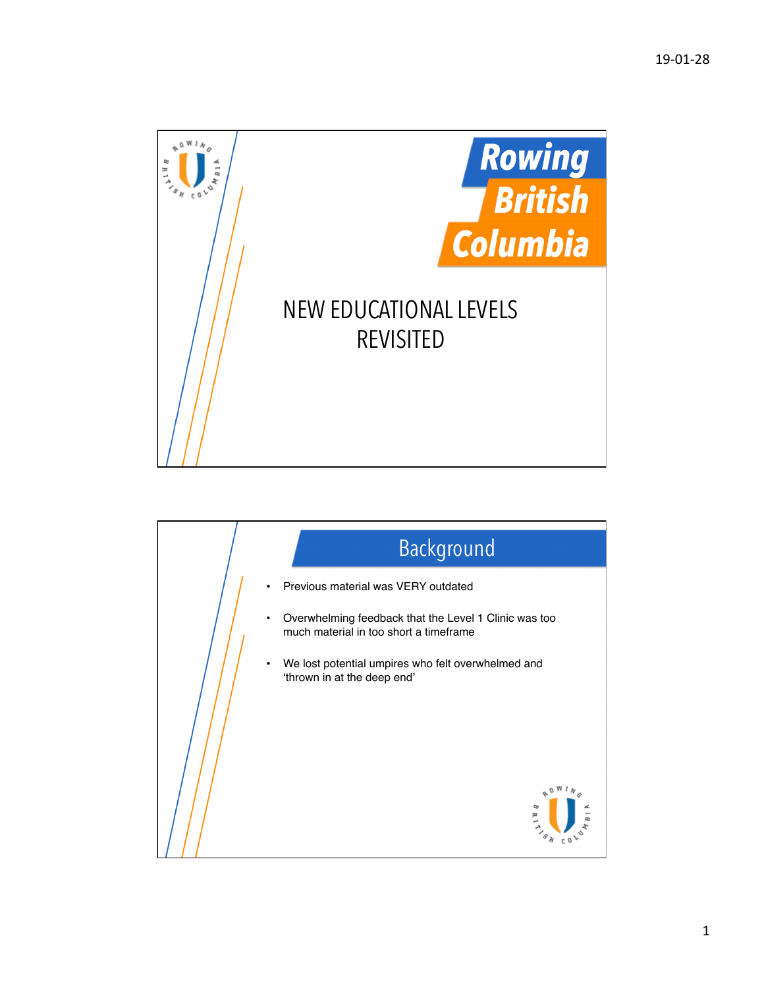

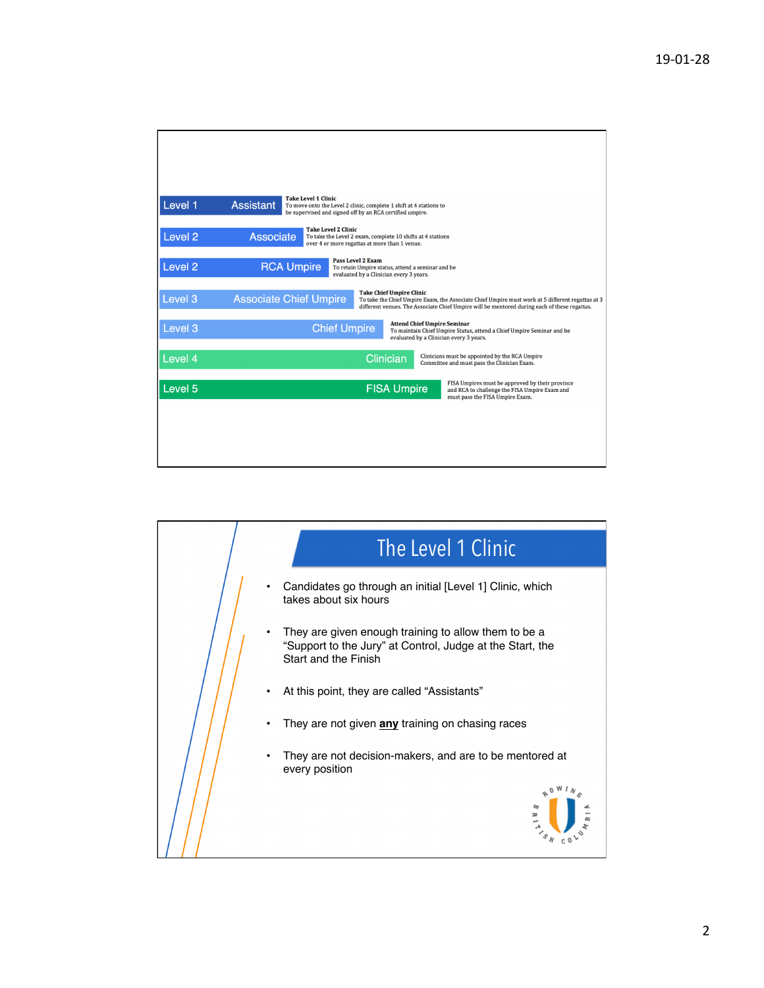| Level 1            | <b>Take Level 1 Clinic</b><br><b>Assistant</b><br>To move onto the Level 2 clinic, complete 1 shift at 4 stations to<br>be supervised and signed off by an RCA certified umpire.                                                                                     |
|--------------------|----------------------------------------------------------------------------------------------------------------------------------------------------------------------------------------------------------------------------------------------------------------------|
| Level <sub>2</sub> | <b>Take Level 2 Clinic</b><br><b>Associate</b><br>To take the Level 2 exam, complete 10 shifts at 4 stations<br>over 4 or more regattas at more than 1 venue.                                                                                                        |
| Level <sub>2</sub> | <b>Pass Level 2 Exam</b><br><b>RCA Umpire</b><br>To retain Umpire status, attend a seminar and be<br>evaluated by a Clinician every 3 years.                                                                                                                         |
| Level 3            | <b>Take Chief Umpire Clinic</b><br><b>Associate Chief Umpire</b><br>To take the Chief Umpire Exam, the Associate Chief Umpire must work at 5 different regattas at 3<br>different venues. The Associate Chief Umpire will be mentored during each of these regattas. |
| Level 3            | <b>Attend Chief Umpire Seminar</b><br><b>Chief Umpire</b><br>To maintain Chief Umpire Status, attend a Chief Umpire Seminar and be<br>evaluated by a Clinician every 3 years.                                                                                        |
| Level 4            | Clinicians must be appointed by the RCA Umpire<br>Clinician<br>Committee and must pass the Clinician Exam.                                                                                                                                                           |
| Level 5            | FISA Umpires must be approved by their province<br><b>FISA Umpire</b><br>and RCA to challenge the FISA Umpire Exam and<br>must pass the FISA Umpire Exam.                                                                                                            |
|                    |                                                                                                                                                                                                                                                                      |
|                    |                                                                                                                                                                                                                                                                      |

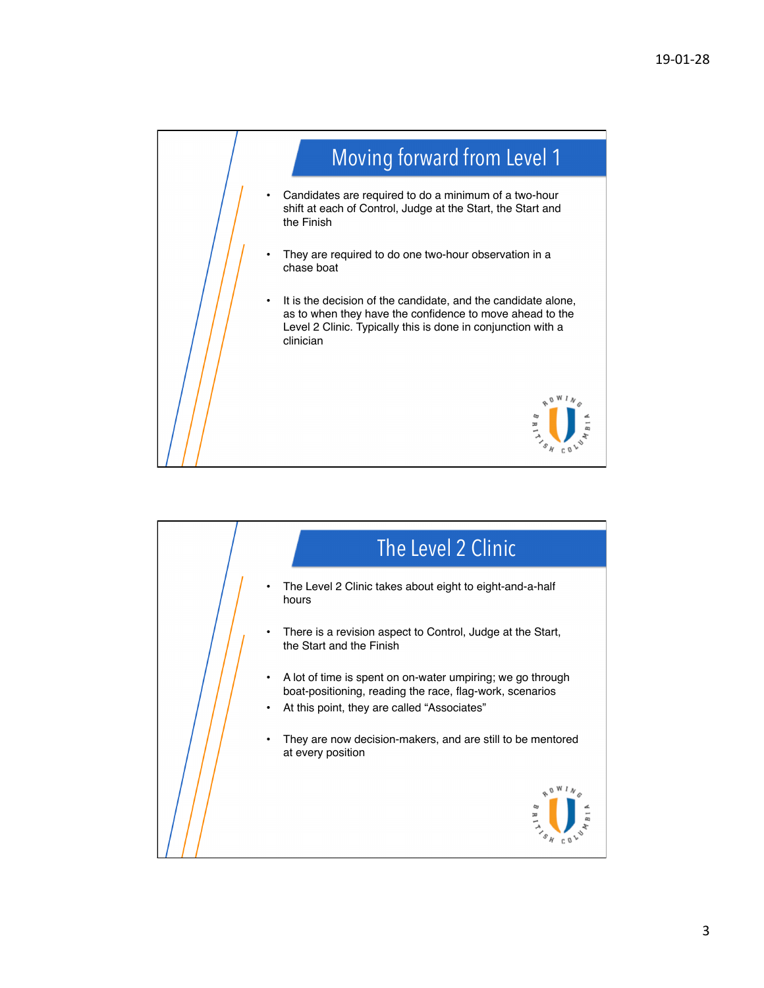

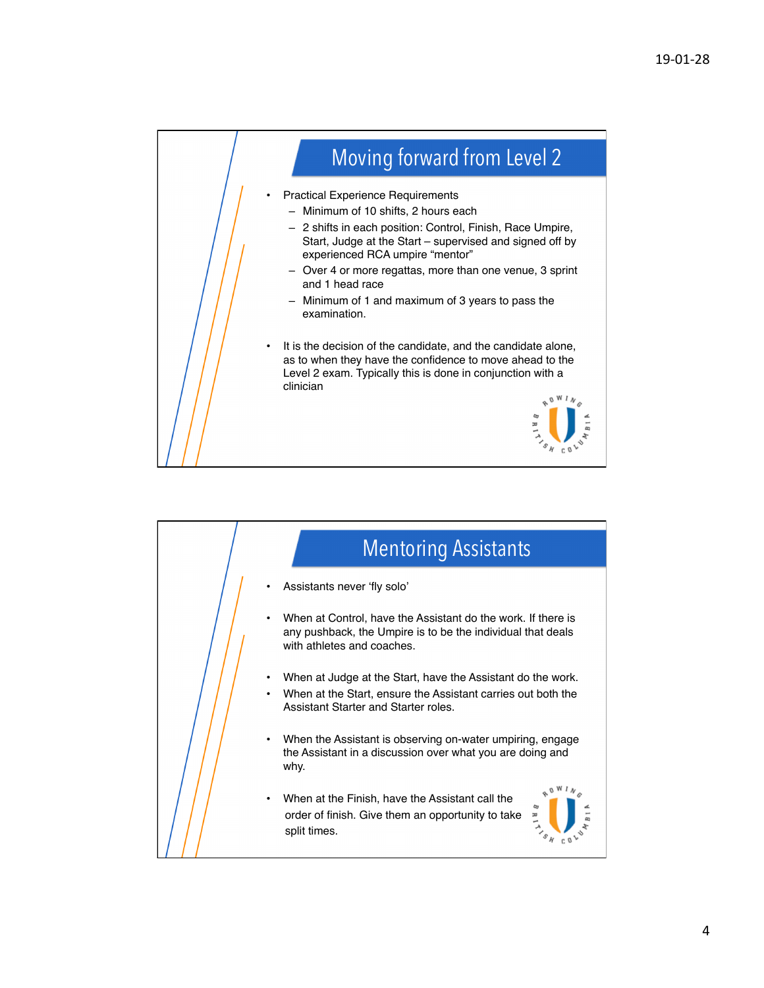